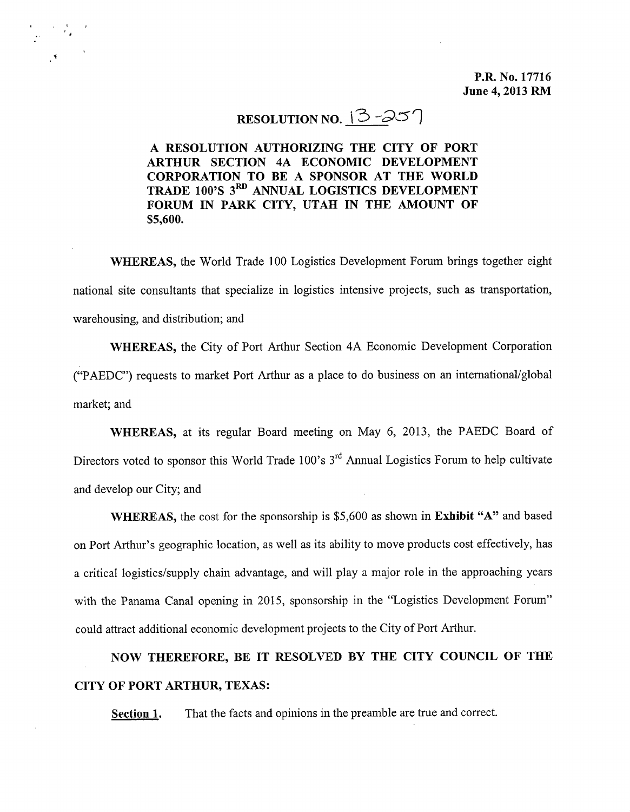**P.R. No. 17716 June 4, 2013 RM**

#### **RESOLUTION NO.**  $\left[3 - 25\right]$

**A RESOLUTION AUTHORIZING THE CITY OF PORT ARTHUR SECTION 4A ECONOMIC DEVELOPMENT CORPORATION TO BE A SPONSOR AT THE WORLD TRADE 100'S 3 RD ANNUAL LOGISTICS DEVELOPMENT FORUM IN PARK CITY, UTAH IN THE AMOUNT OF \$5,600.**

**WHEREAS,** the World Trade 100 Logistics Development Forum brings together eight national site consultants that specialize in logistics intensive projects, such as transportation, warehousing, and distribution; and

**WHEREAS,** the City of Port Arthur Section 4A Economic Development Corporation ("PAEDC") requests to market Port Arthur as a place to do business on an international/global market; and

**WHEREAS,** at its regular Board meeting on May 6, 2013, the PAEDC Board of Directors voted to sponsor this World Trade 100's 3<sup>rd</sup> Annual Logistics Forum to help cultivate and develop our City; and

**WHEREAS,** the cost for the sponsorship is \$5,600 as shown in **Exhibit** "A" and based on Port Arthur's geographic location, as well as its ability to move products cost effectively, has a critical logistics/supply chain advantage, and will playa major role in the approaching years with the Panama Canal opening in 2015, sponsorship in the "Logistics Development Forum" could attract additional economic development projects to the City of Port Arthur.

**NOW THEREFORE, BE IT RESOLVED BY THE CITY COUNCIL OF THE CITY OF PORT ARTHUR, TEXAS:**

**Section 1.** That the facts and opinions in the preamble are true and correct.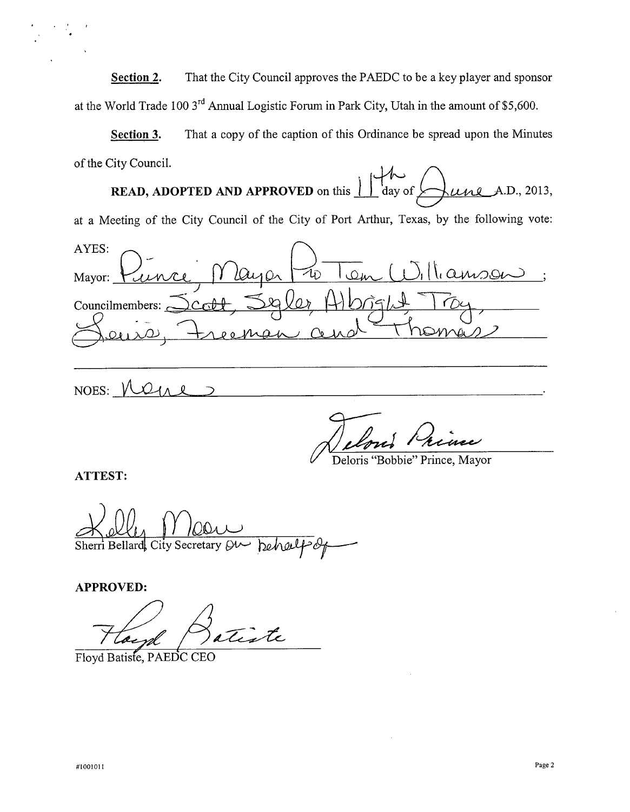**Section 2.** That the City Council approves the PAEDC to be a key player and sponsor at the World Trade 100 3<sup>rd</sup> Annual Logistic Forum in Park City, Utah in the amount of \$5,600

**Section 3.** That a copy of the caption of this Ordinance be spread upon the Minutes of the City Council.

**READ, ADOPTED AND APPROVED** on this  $\frac{1}{1}$  day of  $\frac{1}{2}$  day  $\frac{1}{2}$ .D., 2013, at a Meeting of the City Council of the City of Port Arthur, Texas, by the following vote: AYES: lamson  $\ddot{\phantom{1}}$  $z_{\mathrm{D}}$ ىنىڭ ا Mayor:  $O(x)$  $\bigcap_{\alpha}$ Councilmembers: c

NOES:  $\sqrt{}$ 

Deloris "Bobbie" Prince, Mayor

**ATTEST:**

City Secretary QU Sherri Bellard

**APPROVED:**

Floyd Batter, PAEDC CEO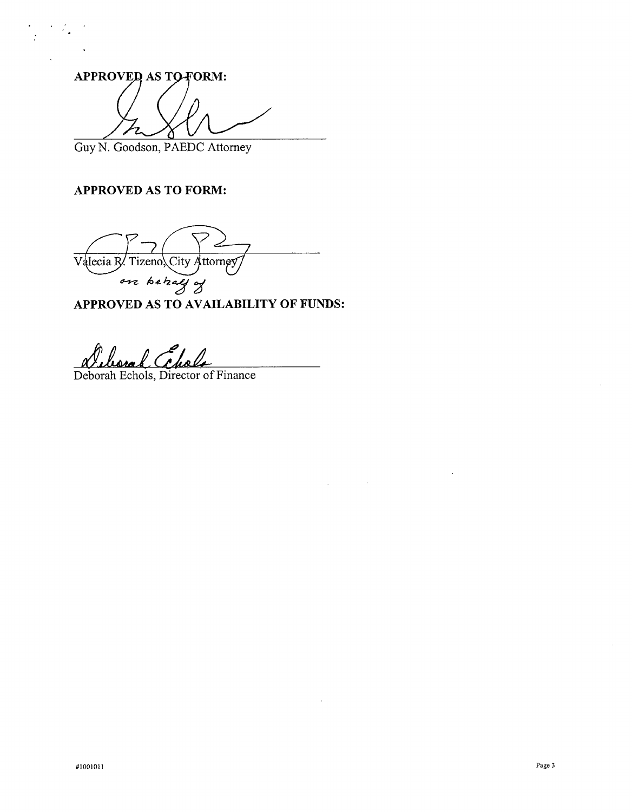APPROVED AS TO FORM: 7

Guy N. Goodson, PAEDC Attorney

#### **APPROVED AS TO FORM:**

 $V$ alecia R. Tizeno, City Attorney *<sup>~</sup> ~~J.z~* 'Z

**APPROVED AS TO AVAILABILITY OF FUNDS:**

 $\sim$ 

 $\mathbb{Z}$ 

*tt1Ll~*

Deborah Echols, Director of Finance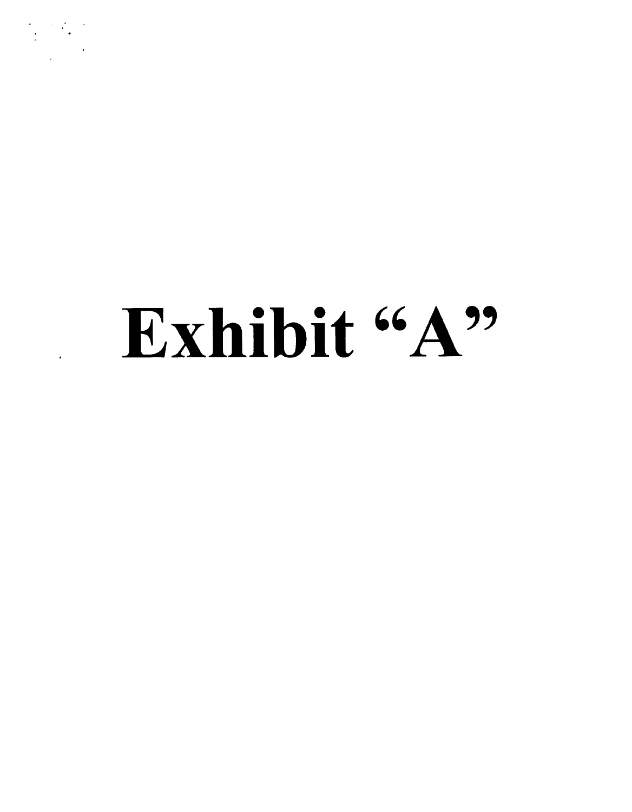# Exhibit "A"

. '. . .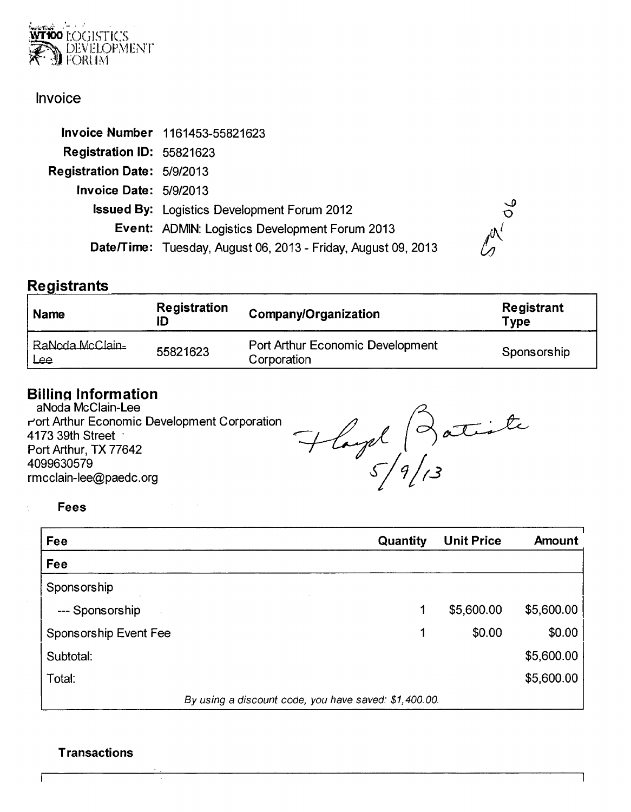

#### Invoice

|                                    | Invoice Number 1161453-55821623                               |
|------------------------------------|---------------------------------------------------------------|
| Registration ID: 55821623          |                                                               |
| <b>Registration Date: 5/9/2013</b> |                                                               |
| <b>Invoice Date: 5/9/2013</b>      |                                                               |
|                                    | <b>Issued By:</b> Logistics Development Forum 2012            |
|                                    | <b>Event: ADMIN: Logistics Development Forum 2013</b>         |
|                                    | Date/Time: Tuesday, August 06, 2013 - Friday, August 09, 2013 |

#### **Registrants**

| <b>Name</b>            | <b>Registration</b> | Company/Organization                                   | Registrant<br>Type |
|------------------------|---------------------|--------------------------------------------------------|--------------------|
| RaNoda McClain-<br>Lee | 55821623            | <b>Port Arthur Economic Development</b><br>Corporation | Sponsorship        |

#### Billina Information

aNoda McClain-Lee r'ort Arthur Economic Development Corporation 4173 39th Street ' Port Arthur, TX 77642 4099630579 [rmcclain-Iee@paedc.org](mailto:rmcclain-Iee@paedc.org)

Hayd 3 atiste

Fees

 $\epsilon$ 

| Fee                                                   | Quantity | <b>Unit Price</b> | Amount     |  |
|-------------------------------------------------------|----------|-------------------|------------|--|
| Fee                                                   |          |                   |            |  |
| Sponsorship                                           |          |                   |            |  |
| --- Sponsorship                                       | 1        | \$5,600.00        | \$5,600.00 |  |
| Sponsorship Event Fee                                 | 1        | \$0.00            | \$0.00     |  |
| Subtotal:                                             |          |                   | \$5,600.00 |  |
| Total:                                                |          |                   | \$5,600.00 |  |
| By using a discount code, you have saved: \$1,400.00. |          |                   |            |  |

#### **Transactions**

ſ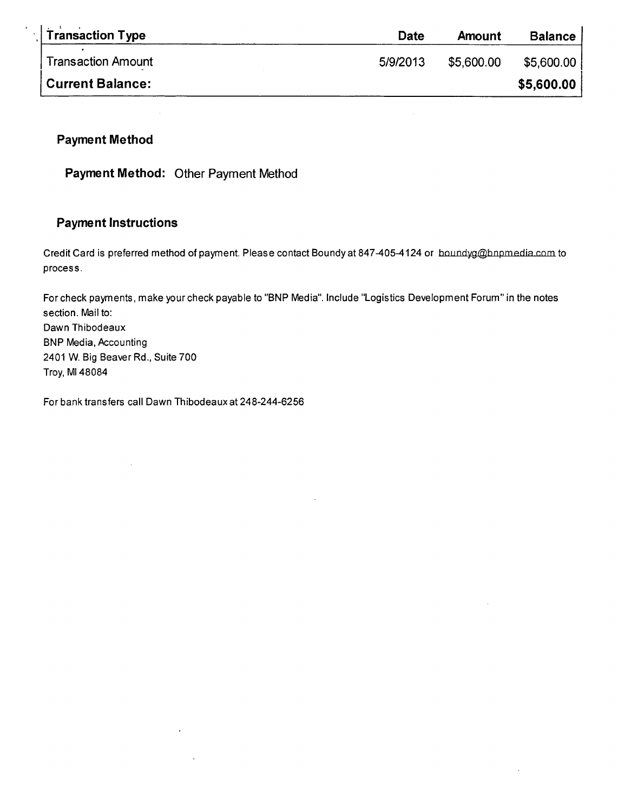| <b>Transaction Type</b>   | Date     | Amount     | <b>Balance</b> |
|---------------------------|----------|------------|----------------|
| <b>Transaction Amount</b> | 5/9/2013 | \$5,600.00 | \$5,600.00,    |
| <b>Current Balance:</b>   |          |            | \$5,600.00     |

#### **Payment Method**

**Payment Method:** Other Payment Method

 $\sim$ 

#### **Payment Instructions**

Credit Card is preferred method of payment. Please contact Boundy at 847-405-4124 or boundyg@bnpmedia.com to process.

For check payments, make your check payable to "BNP Media". Include "Logistics Development Forum" in the notes section. Mail to: Dawn Thibodeaux BNP Media, Accounting 2401 W. Big Beaver Rd., Suite 700 Troy, MI 48084

 $\epsilon$ 

For bank transfers call Dawn Thibodeaux at 248-244-6256

 $\overline{a}$ 

 $\mathcal{A}$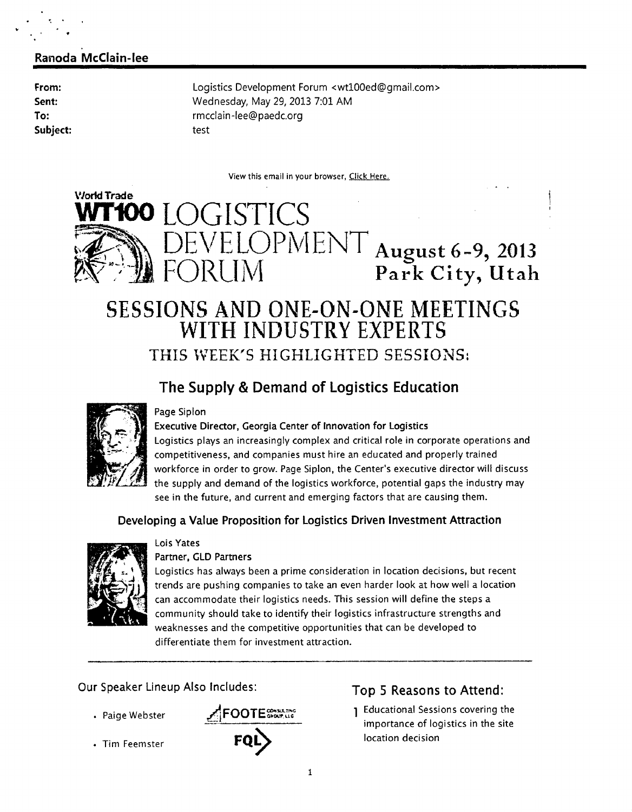#### Ranoda McClain-lee

From: Sent: To: Subject: Logistics Development Forum <wtlOOed@gmail.com> Wednesday, May 29, 2013 7:01 AM [rmcclain-Iee@paedc.org](mailto:rmcclain-Iee@paedc.org) test

View this email in your browser, Click Here.



# $\mathcal{L}$  DEVELOPMENT August 6-9, 2013  $\mathbb{R}^*$  FORUM Park City, Utah

## SESSIONS AND ONE-ON-ONE MEETINGS WITH INDUSTRY EXPERTS THIS \VEEK'S HIGHLIGHTED SESSIONS:

#### The Supply & Demand of Logistics Education



#### Page Siplon

Executive Director, Georgia Center of Innovation for logistics logistics plays an increasingly complex and critical role in corporate operations and competitiveness, and companies must hire an educated and properly trained workforce in order to grow. Page Siplon, the Center's executive director will discuss the supply and demand of the logistics workforce, potential gaps the industry may see in the future, and current and emerging factors that are causing them.

#### Developing a Value Proposition for Logistics Driven Investment Attraction



#### Lois Yates Partner, GLD Partners

Logistics has always been a prime consideration in location decisions, but recent trends are pushing companies to take an even harder look at how well a location can accommodate their logistics needs. This session will define the steps a community should take to identify their logistics infrastructure strengths and weaknesses and the competitive opportunities that can be developed to differentiate them for investment attraction.

Our Speaker Lineup Also Includes:

- Paige Webster
- Tim Feemster



#### Top 5 Reasons to Attend:

1 Educational Sessions covering the importance of logistics in the site location decision